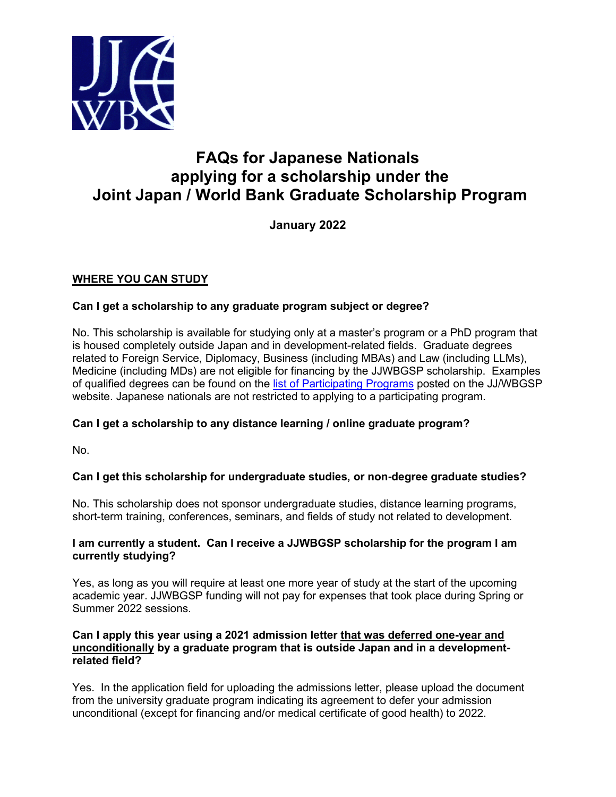

# **FAQs for Japanese Nationals applying for a scholarship under the Joint Japan / World Bank Graduate Scholarship Program**

**January 2022**

# **WHERE YOU CAN STUDY**

# **Can I get a scholarship to any graduate program subject or degree?**

No. This scholarship is available for studying only at a master's program or a PhD program that is housed completely outside Japan and in development-related fields. Graduate degrees related to Foreign Service, Diplomacy, Business (including MBAs) and Law (including LLMs), Medicine (including MDs) are not eligible for financing by the JJWBGSP scholarship. Examples of qualified degrees can be found on the [list of Participating Programs](https://www.worldbank.org/en/programs/scholarships/brief/jjwbgsp-participating-programs) posted on the JJ/WBGSP website. Japanese nationals are not restricted to applying to a participating program.

# **Can I get a scholarship to any distance learning / online graduate program?**

No.

# **Can I get this scholarship for undergraduate studies, or non-degree graduate studies?**

No. This scholarship does not sponsor undergraduate studies, distance learning programs, short-term training, conferences, seminars, and fields of study not related to development.

# **I am currently a student. Can I receive a JJWBGSP scholarship for the program I am currently studying?**

Yes, as long as you will require at least one more year of study at the start of the upcoming academic year. JJWBGSP funding will not pay for expenses that took place during Spring or Summer 2022 sessions.

#### **Can I apply this year using a 2021 admission letter that was deferred one-year and unconditionally by a graduate program that is outside Japan and in a developmentrelated field?**

Yes. In the application field for uploading the admissions letter, please upload the document from the university graduate program indicating its agreement to defer your admission unconditional (except for financing and/or medical certificate of good health) to 2022.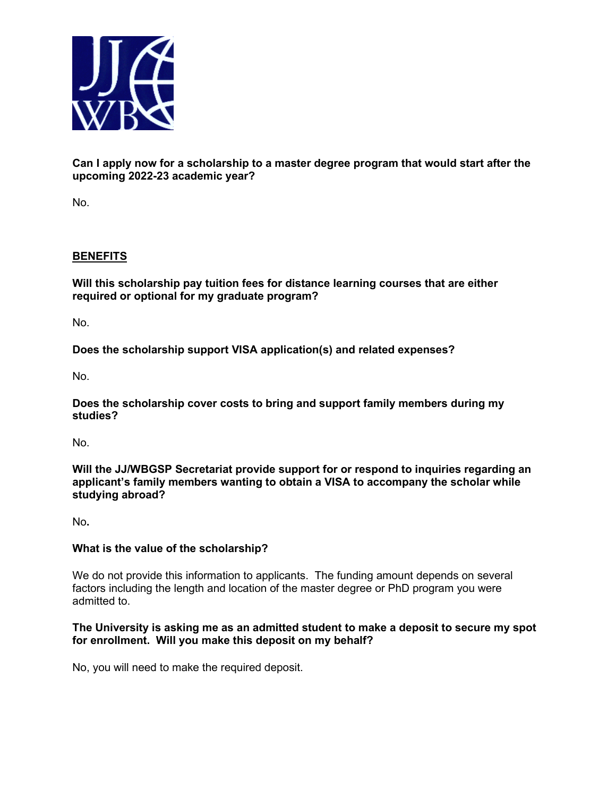

**Can I apply now for a scholarship to a master degree program that would start after the upcoming 2022-23 academic year?**

No.

# **BENEFITS**

**Will this scholarship pay tuition fees for distance learning courses that are either required or optional for my graduate program?**

No.

**Does the scholarship support VISA application(s) and related expenses?**

No.

**Does the scholarship cover costs to bring and support family members during my studies?**

No.

**Will the JJ/WBGSP Secretariat provide support for or respond to inquiries regarding an applicant's family members wanting to obtain a VISA to accompany the scholar while studying abroad?**

No**.**

# **What is the value of the scholarship?**

We do not provide this information to applicants. The funding amount depends on several factors including the length and location of the master degree or PhD program you were admitted to.

#### **The University is asking me as an admitted student to make a deposit to secure my spot for enrollment. Will you make this deposit on my behalf?**

No, you will need to make the required deposit.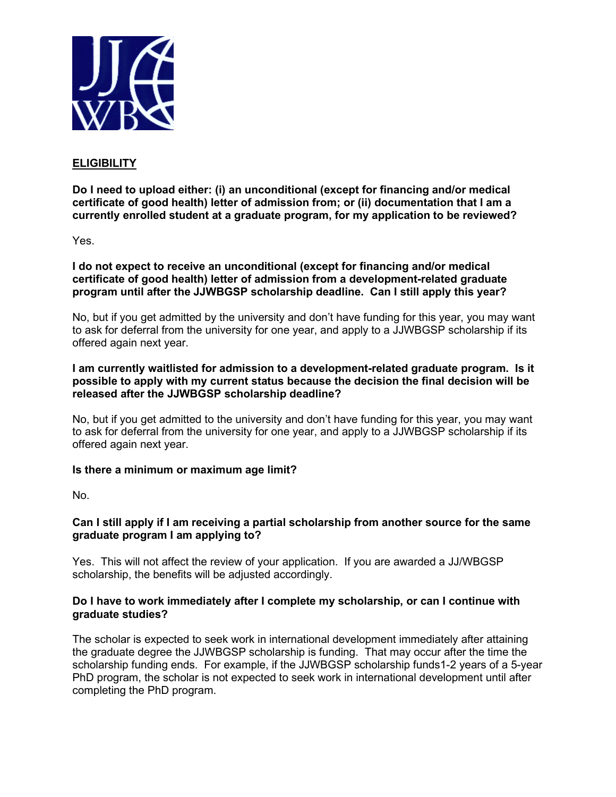

# **ELIGIBILITY**

**Do I need to upload either: (i) an unconditional (except for financing and/or medical certificate of good health) letter of admission from; or (ii) documentation that I am a currently enrolled student at a graduate program, for my application to be reviewed?**

Yes.

**I do not expect to receive an unconditional (except for financing and/or medical certificate of good health) letter of admission from a development-related graduate program until after the JJWBGSP scholarship deadline. Can I still apply this year?**

No, but if you get admitted by the university and don't have funding for this year, you may want to ask for deferral from the university for one year, and apply to a JJWBGSP scholarship if its offered again next year.

#### **I am currently waitlisted for admission to a development-related graduate program. Is it possible to apply with my current status because the decision the final decision will be released after the JJWBGSP scholarship deadline?**

No, but if you get admitted to the university and don't have funding for this year, you may want to ask for deferral from the university for one year, and apply to a JJWBGSP scholarship if its offered again next year.

# **Is there a minimum or maximum age limit?**

No.

# **Can I still apply if I am receiving a partial scholarship from another source for the same graduate program I am applying to?**

Yes. This will not affect the review of your application. If you are awarded a JJ/WBGSP scholarship, the benefits will be adjusted accordingly.

#### **Do I have to work immediately after I complete my scholarship, or can I continue with graduate studies?**

The scholar is expected to seek work in international development immediately after attaining the graduate degree the JJWBGSP scholarship is funding. That may occur after the time the scholarship funding ends. For example, if the JJWBGSP scholarship funds1-2 years of a 5-year PhD program, the scholar is not expected to seek work in international development until after completing the PhD program.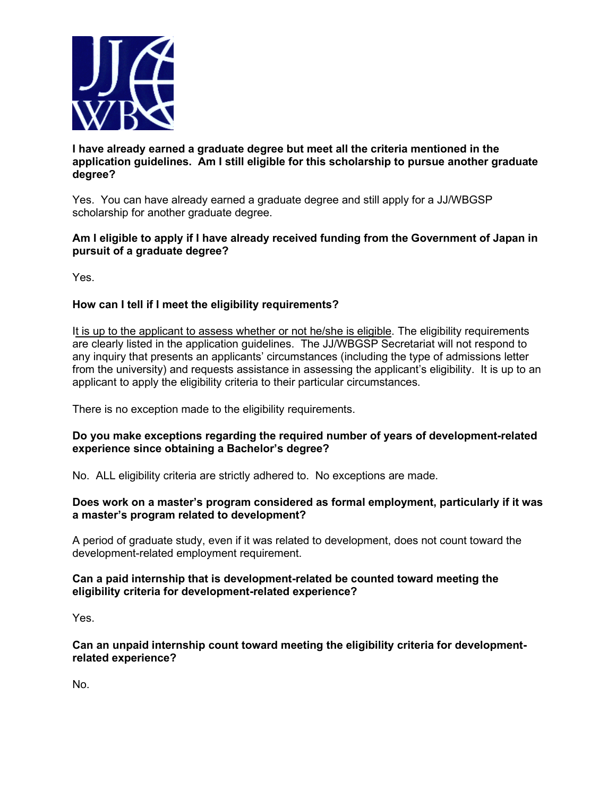

# **I have already earned a graduate degree but meet all the criteria mentioned in the application guidelines. Am I still eligible for this scholarship to pursue another graduate degree?**

Yes. You can have already earned a graduate degree and still apply for a JJ/WBGSP scholarship for another graduate degree.

# **Am I eligible to apply if I have already received funding from the Government of Japan in pursuit of a graduate degree?**

Yes.

# **How can I tell if I meet the eligibility requirements?**

It is up to the applicant to assess whether or not he/she is eligible. The eligibility requirements are clearly listed in the application guidelines. The JJ/WBGSP Secretariat will not respond to any inquiry that presents an applicants' circumstances (including the type of admissions letter from the university) and requests assistance in assessing the applicant's eligibility. It is up to an applicant to apply the eligibility criteria to their particular circumstances.

There is no exception made to the eligibility requirements.

# **Do you make exceptions regarding the required number of years of development-related experience since obtaining a Bachelor's degree?**

No. ALL eligibility criteria are strictly adhered to. No exceptions are made.

# **Does work on a master's program considered as formal employment, particularly if it was a master's program related to development?**

A period of graduate study, even if it was related to development, does not count toward the development-related employment requirement.

# **Can a paid internship that is development-related be counted toward meeting the eligibility criteria for development-related experience?**

Yes.

**Can an unpaid internship count toward meeting the eligibility criteria for developmentrelated experience?** 

No.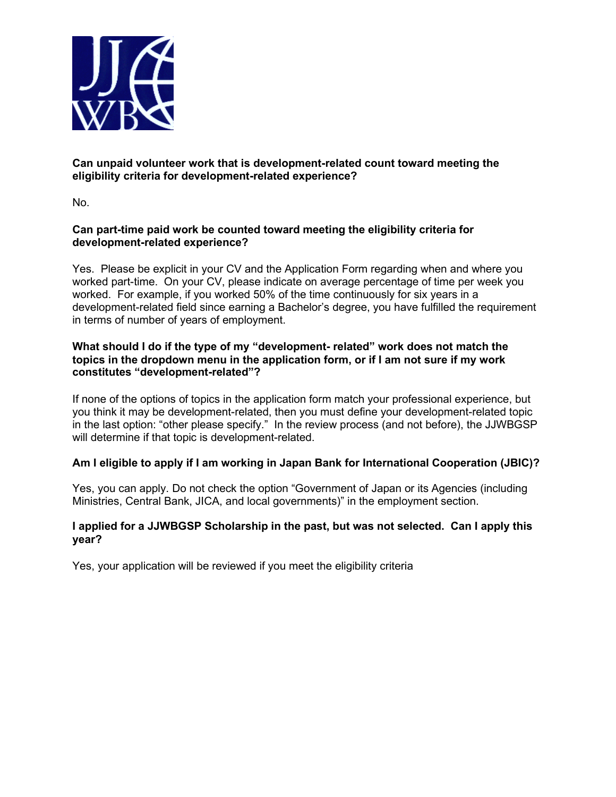

# **Can unpaid volunteer work that is development-related count toward meeting the eligibility criteria for development-related experience?**

No.

# **Can part-time paid work be counted toward meeting the eligibility criteria for development-related experience?**

Yes. Please be explicit in your CV and the Application Form regarding when and where you worked part-time. On your CV, please indicate on average percentage of time per week you worked. For example, if you worked 50% of the time continuously for six years in a development-related field since earning a Bachelor's degree, you have fulfilled the requirement in terms of number of years of employment.

# **What should I do if the type of my "development- related" work does not match the topics in the dropdown menu in the application form, or if I am not sure if my work constitutes "development-related"?**

If none of the options of topics in the application form match your professional experience, but you think it may be development-related, then you must define your development-related topic in the last option: "other please specify." In the review process (and not before), the JJWBGSP will determine if that topic is development-related.

# **Am I eligible to apply if I am working in Japan Bank for International Cooperation (JBIC)?**

Yes, you can apply. Do not check the option "Government of Japan or its Agencies (including Ministries, Central Bank, JICA, and local governments)" in the employment section.

# **I applied for a JJWBGSP Scholarship in the past, but was not selected. Can I apply this year?**

Yes, your application will be reviewed if you meet the eligibility criteria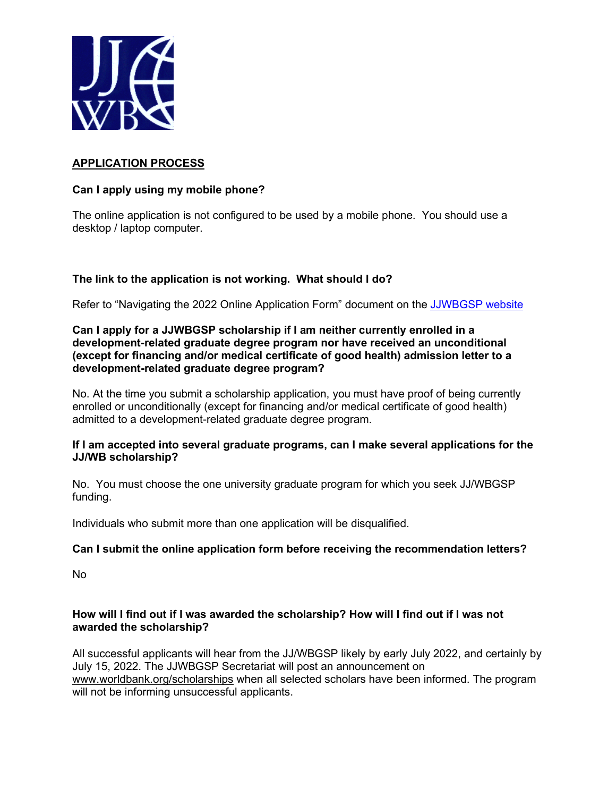

# **APPLICATION PROCESS**

# **Can I apply using my mobile phone?**

The online application is not configured to be used by a mobile phone. You should use a desktop / laptop computer.

# **The link to the application is not working. What should I do?**

Refer to "Navigating the 2022 Online Application Form" document on the [JJWBGSP website](https://www.worldbank.org/en/programs/scholarships#4)

#### **Can I apply for a JJWBGSP scholarship if I am neither currently enrolled in a development-related graduate degree program nor have received an unconditional (except for financing and/or medical certificate of good health) admission letter to a development-related graduate degree program?**

No. At the time you submit a scholarship application, you must have proof of being currently enrolled or unconditionally (except for financing and/or medical certificate of good health) admitted to a development-related graduate degree program.

#### **If I am accepted into several graduate programs, can I make several applications for the JJ/WB scholarship?**

No. You must choose the one university graduate program for which you seek JJ/WBGSP funding.

Individuals who submit more than one application will be disqualified.

# **Can I submit the online application form before receiving the recommendation letters?**

No

# **How will I find out if I was awarded the scholarship? How will I find out if I was not awarded the scholarship?**

All successful applicants will hear from the JJ/WBGSP likely by early July 2022, and certainly by July 15, 2022. The JJWBGSP Secretariat will post an announcement on [www.worldbank.org/scholarships](http://www.worldbank.org/scholarships) when all selected scholars have been informed. The program will not be informing unsuccessful applicants.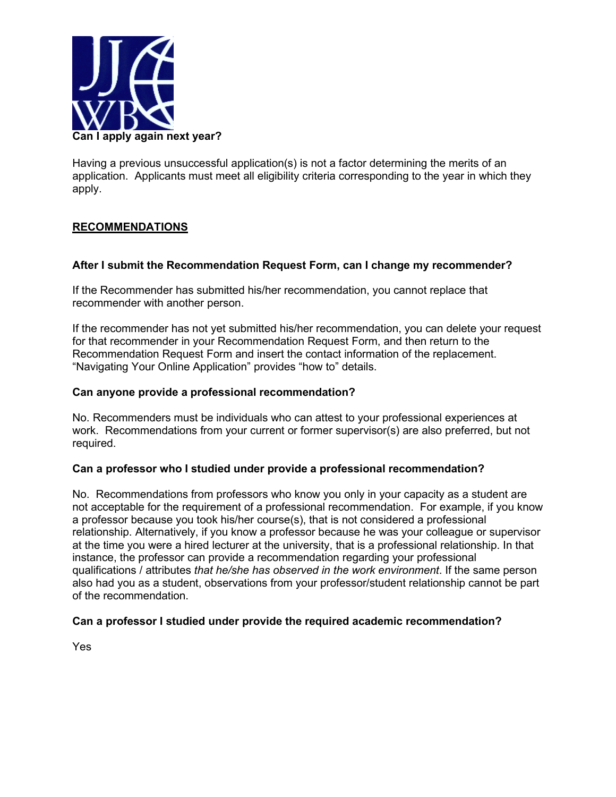

Having a previous unsuccessful application(s) is not a factor determining the merits of an application. Applicants must meet all eligibility criteria corresponding to the year in which they apply.

# **RECOMMENDATIONS**

#### **After I submit the Recommendation Request Form, can I change my recommender?**

If the Recommender has submitted his/her recommendation, you cannot replace that recommender with another person.

If the recommender has not yet submitted his/her recommendation, you can delete your request for that recommender in your Recommendation Request Form, and then return to the Recommendation Request Form and insert the contact information of the replacement. "Navigating Your Online Application" provides "how to" details.

#### **Can anyone provide a professional recommendation?**

No. Recommenders must be individuals who can attest to your professional experiences at work. Recommendations from your current or former supervisor(s) are also preferred, but not required.

#### **Can a professor who I studied under provide a professional recommendation?**

No. Recommendations from professors who know you only in your capacity as a student are not acceptable for the requirement of a professional recommendation. For example, if you know a professor because you took his/her course(s), that is not considered a professional relationship. Alternatively, if you know a professor because he was your colleague or supervisor at the time you were a hired lecturer at the university, that is a professional relationship. In that instance, the professor can provide a recommendation regarding your professional qualifications / attributes *that he/she has observed in the work environment*. If the same person also had you as a student, observations from your professor/student relationship cannot be part of the recommendation.

# **Can a professor I studied under provide the required academic recommendation?**

Yes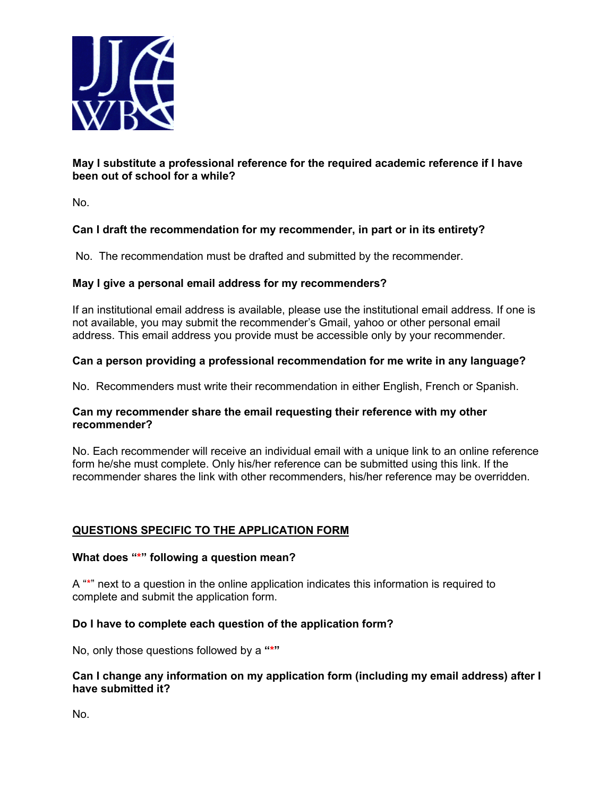

# **May I substitute a professional reference for the required academic reference if I have been out of school for a while?**

No.

# **Can I draft the recommendation for my recommender, in part or in its entirety?**

No. The recommendation must be drafted and submitted by the recommender.

# **May I give a personal email address for my recommenders?**

If an institutional email address is available, please use the institutional email address. If one is not available, you may submit the recommender's Gmail, yahoo or other personal email address. This email address you provide must be accessible only by your recommender.

# **Can a person providing a professional recommendation for me write in any language?**

No. Recommenders must write their recommendation in either English, French or Spanish.

# **Can my recommender share the email requesting their reference with my other recommender?**

No. Each recommender will receive an individual email with a unique link to an online reference form he/she must complete. Only his/her reference can be submitted using this link. If the recommender shares the link with other recommenders, his/her reference may be overridden.

# **QUESTIONS SPECIFIC TO THE APPLICATION FORM**

# **What does "\*" following a question mean?**

A "\*" next to a question in the online application indicates this information is required to complete and submit the application form.

# **Do I have to complete each question of the application form?**

No, only those questions followed by a **"\*"** 

#### **Can I change any information on my application form (including my email address) after I have submitted it?**

No.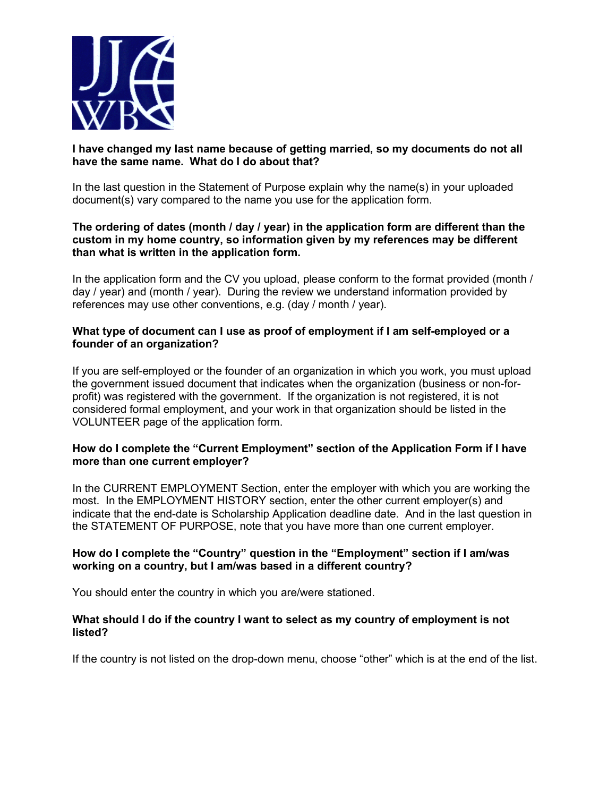

# **I have changed my last name because of getting married, so my documents do not all have the same name. What do I do about that?**

In the last question in the Statement of Purpose explain why the name(s) in your uploaded document(s) vary compared to the name you use for the application form.

#### **The ordering of dates (month / day / year) in the application form are different than the custom in my home country, so information given by my references may be different than what is written in the application form.**

In the application form and the CV you upload, please conform to the format provided (month / day / year) and (month / year). During the review we understand information provided by references may use other conventions, e.g. (day / month / year).

# **What type of document can I use as proof of employment if I am self-employed or a founder of an organization?**

If you are self-employed or the founder of an organization in which you work, you must upload the government issued document that indicates when the organization (business or non-forprofit) was registered with the government. If the organization is not registered, it is not considered formal employment, and your work in that organization should be listed in the VOLUNTEER page of the application form.

#### **How do I complete the "Current Employment" section of the Application Form if I have more than one current employer?**

In the CURRENT EMPLOYMENT Section, enter the employer with which you are working the most. In the EMPLOYMENT HISTORY section, enter the other current employer(s) and indicate that the end-date is Scholarship Application deadline date. And in the last question in the STATEMENT OF PURPOSE, note that you have more than one current employer.

# **How do I complete the "Country" question in the "Employment" section if I am/was working on a country, but I am/was based in a different country?**

You should enter the country in which you are/were stationed.

#### **What should I do if the country I want to select as my country of employment is not listed?**

If the country is not listed on the drop-down menu, choose "other" which is at the end of the list.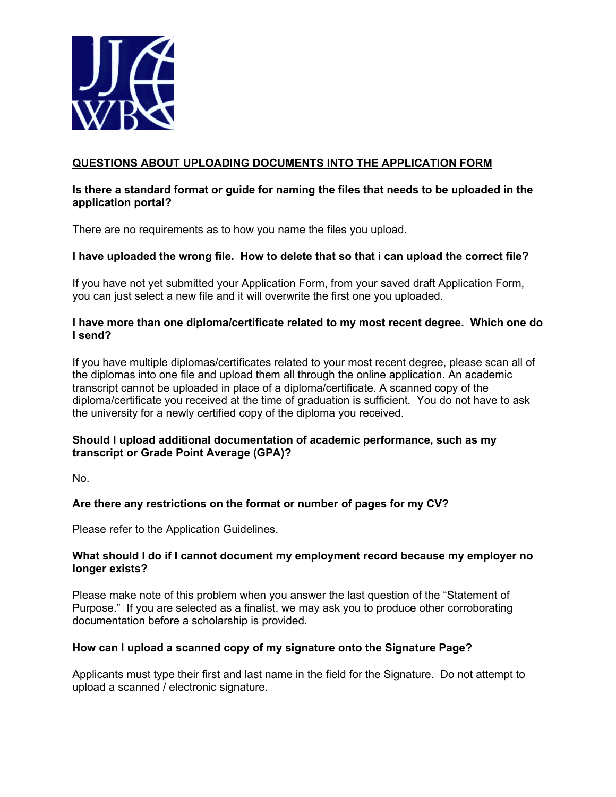

# **QUESTIONS ABOUT UPLOADING DOCUMENTS INTO THE APPLICATION FORM**

### **Is there a standard format or guide for naming the files that needs to be uploaded in the application portal?**

There are no requirements as to how you name the files you upload.

# **I have uploaded the wrong file. How to delete that so that i can upload the correct file?**

If you have not yet submitted your Application Form, from your saved draft Application Form, you can just select a new file and it will overwrite the first one you uploaded.

#### **I have more than one diploma/certificate related to my most recent degree. Which one do I send?**

If you have multiple diplomas/certificates related to your most recent degree, please scan all of the diplomas into one file and upload them all through the online application. An academic transcript cannot be uploaded in place of a diploma/certificate. A scanned copy of the diploma/certificate you received at the time of graduation is sufficient. You do not have to ask the university for a newly certified copy of the diploma you received.

# **Should I upload additional documentation of academic performance, such as my transcript or Grade Point Average (GPA)?**

No.

# **Are there any restrictions on the format or number of pages for my CV?**

Please refer to the Application Guidelines.

#### **What should I do if I cannot document my employment record because my employer no longer exists?**

Please make note of this problem when you answer the last question of the "Statement of Purpose." If you are selected as a finalist, we may ask you to produce other corroborating documentation before a scholarship is provided.

# **How can I upload a scanned copy of my signature onto the Signature Page?**

Applicants must type their first and last name in the field for the Signature. Do not attempt to upload a scanned / electronic signature.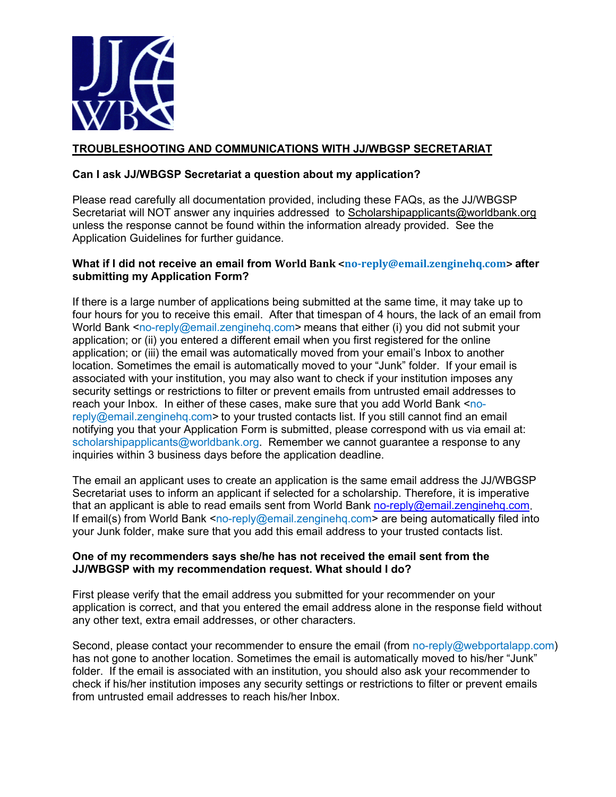

# **TROUBLESHOOTING AND COMMUNICATIONS WITH JJ/WBGSP SECRETARIAT**

# **Can I ask JJ/WBGSP Secretariat a question about my application?**

Please read carefully all documentation provided, including these FAQs, as the JJ/WBGSP Secretariat will NOT answer any inquiries addressed to [Scholarshipapplicants@worldbank.org](mailto:Scholarshipapplicants@worldbank.org) unless the response cannot be found within the information already provided. See the Application Guidelines for further guidance.

# **What if I did not receive an email from World Bank <no-reply@email.zenginehq.com> after submitting my Application Form?**

If there is a large number of applications being submitted at the same time, it may take up to four hours for you to receive this email. After that timespan of 4 hours, the lack of an email from World Bank  $\langle$ no-reply@email.zenginehg.com> means that either (i) you did not submit your application; or (ii) you entered a different email when you first registered for the online application; or (iii) the email was automatically moved from your email's Inbox to another location. Sometimes the email is automatically moved to your "Junk" folder. If your email is associated with your institution, you may also want to check if your institution imposes any security settings or restrictions to filter or prevent emails from untrusted email addresses to reach your Inbox. In either of these cases, make sure that you add World Bank <noreply@email.zenginehg.com> to your trusted contacts list. If you still cannot find an email notifying you that your Application Form is submitted, please correspond with us via email at: [scholarshipapplicants@worldbank.org.](mailto:scholarshipapplicants@worldbank.org) Remember we cannot guarantee a response to any inquiries within 3 business days before the application deadline.

The email an applicant uses to create an application is the same email address the JJ/WBGSP Secretariat uses to inform an applicant if selected for a scholarship. Therefore, it is imperative that an applicant is able to read emails sent from World Bank [no-reply@email.zenginehq.com.](mailto:no-reply@email.zenginehq.com) If email(s) from World Bank <no-reply@email.zenginehg.com> are being automatically filed into your Junk folder, make sure that you add this email address to your trusted contacts list.

# **One of my recommenders says she/he has not received the email sent from the JJ/WBGSP with my recommendation request. What should I do?**

First please verify that the email address you submitted for your recommender on your application is correct, and that you entered the email address alone in the response field without any other text, extra email addresses, or other characters.

Second, please contact your recommender to ensure the email (from no-reply@webportalapp.com) has not gone to another location. Sometimes the email is automatically moved to his/her "Junk" folder. If the email is associated with an institution, you should also ask your recommender to check if his/her institution imposes any security settings or restrictions to filter or prevent emails from untrusted email addresses to reach his/her Inbox.